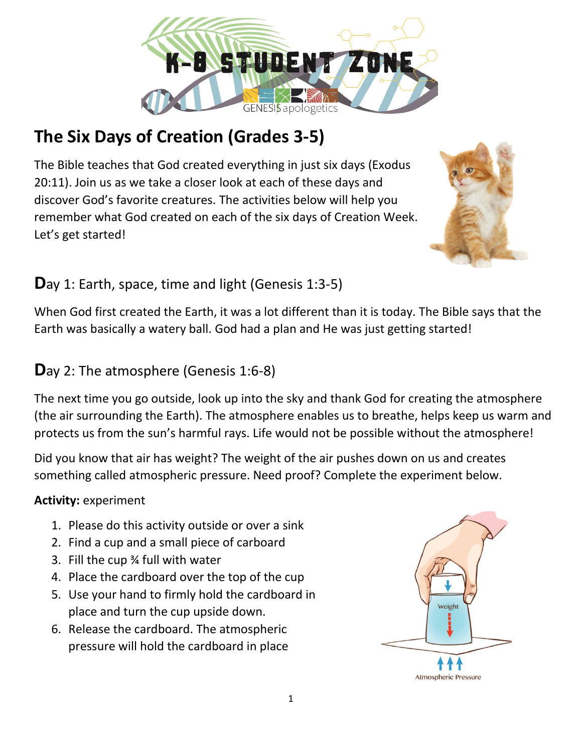

# **The Six Days of Creation (Grades 3-5)**

The Bible teaches that God created everything in just six days (Exodus 20:11). Join us as we take a closer look at each of these days and discover God's favorite creatures. The activities below will help you remember what God created on each of the six days of Creation Week. Let's get started!



## **D**ay 1: Earth, space, time and light (Genesis 1:3-5)

When God first created the Earth, it was a lot different than it is today. The Bible says that the Earth was basically a watery ball. God had a plan and He was just getting started!

## **D**ay 2: The atmosphere (Genesis 1:6-8)

The next time you go outside, look up into the sky and thank God for creating the atmosphere (the air surrounding the Earth). The atmosphere enables us to breathe, helps keep us warm and protects us from the sun's harmful rays. Life would not be possible without the atmosphere!

Did you know that air has weight? The weight of the air pushes down on us and creates something called atmospheric pressure. Need proof? Complete the experiment below.

#### **Activity:** experiment

- 1. Please do this activity outside or over a sink
- 2. Find a cup and a small piece of carboard
- 3. Fill the cup ¾ full with water
- 4. Place the cardboard over the top of the cup
- 5. Use your hand to firmly hold the cardboard in place and turn the cup upside down.
- 6. Release the cardboard. The atmospheric pressure will hold the cardboard in place

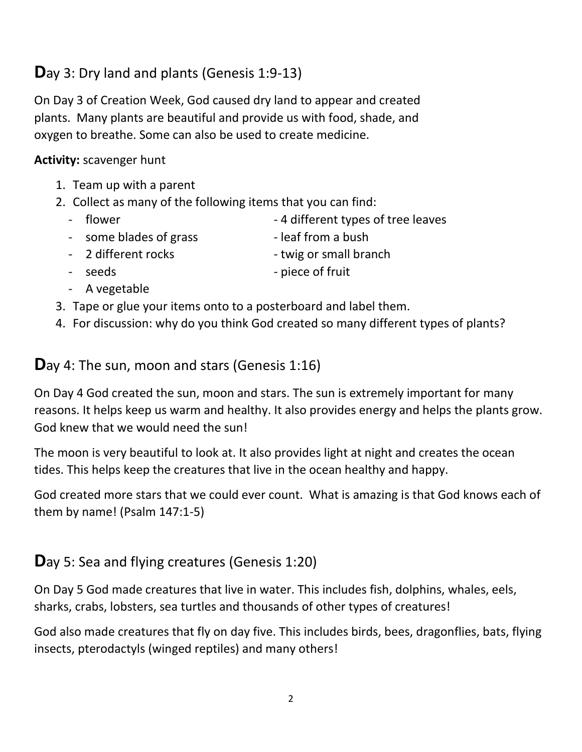# **D**ay 3: Dry land and plants (Genesis 1:9-13)

On Day 3 of Creation Week, God caused dry land to appear and created plants. Many plants are beautiful and provide us with food, shade, and oxygen to breathe. Some can also be used to create medicine.

#### **Activity:** scavenger hunt

- 1. Team up with a parent
- 2. Collect as many of the following items that you can find:
	- flower extending the 4 different types of tree leaves
	- some blades of grass leaf from a bush
- - 2 different rocks twig or small branch
		-
- 
- seeds piece of fruit
- A vegetable
- 3. Tape or glue your items onto to a posterboard and label them.
- 4. For discussion: why do you think God created so many different types of plants?

#### **D**ay 4: The sun, moon and stars (Genesis 1:16)

On Day 4 God created the sun, moon and stars. The sun is extremely important for many reasons. It helps keep us warm and healthy. It also provides energy and helps the plants grow. God knew that we would need the sun!

The moon is very beautiful to look at. It also provides light at night and creates the ocean tides. This helps keep the creatures that live in the ocean healthy and happy.

God created more stars that we could ever count. What is amazing is that God knows each of them by name! (Psalm 147:1-5)

#### **D**ay 5: Sea and flying creatures (Genesis 1:20)

On Day 5 God made creatures that live in water. This includes fish, dolphins, whales, eels, sharks, crabs, lobsters, sea turtles and thousands of other types of creatures!

God also made creatures that fly on day five. This includes birds, bees, dragonflies, bats, flying insects, pterodactyls (winged reptiles) and many others!